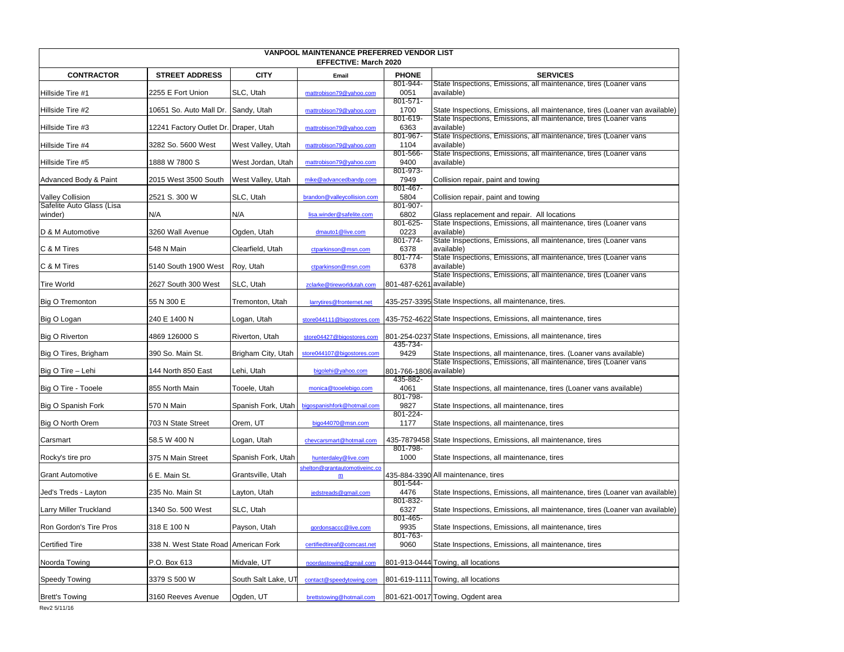| VANPOOL MAINTENANCE PREFERRED VENDOR LIST<br><b>EFFECTIVE: March 2020</b> |                                       |                     |                               |                         |                                                                                                                                         |
|---------------------------------------------------------------------------|---------------------------------------|---------------------|-------------------------------|-------------------------|-----------------------------------------------------------------------------------------------------------------------------------------|
| <b>CONTRACTOR</b>                                                         | <b>STREET ADDRESS</b>                 | <b>CITY</b>         | Email                         | <b>PHONE</b>            | <b>SERVICES</b>                                                                                                                         |
|                                                                           |                                       |                     |                               | 801-944-                | State Inspections, Emissions, all maintenance, tires (Loaner vans                                                                       |
| Hillside Tire #1                                                          | 2255 E Fort Union                     | SLC, Utah           | mattrobison79@yahoo.com       | 0051<br>$801 - 571 -$   | available)                                                                                                                              |
| Hillside Tire #2                                                          | 10651 So. Auto Mall Dr.               | Sandy, Utah         | mattrobison79@yahoo.com       | 1700                    | State Inspections, Emissions, all maintenance, tires (Loaner van available)                                                             |
|                                                                           |                                       |                     |                               | 801-619-                | State Inspections, Emissions, all maintenance, tires (Loaner vans                                                                       |
| Hillside Tire #3                                                          | 12241 Factory Outlet Dr. Draper, Utah |                     | mattrobison79@yahoo.com       | 6363                    | available)                                                                                                                              |
| Hillside Tire #4                                                          | 3282 So. 5600 West                    | West Valley, Utah   | mattrobison79@yahoo.com       | 801-967-<br>1104        | State Inspections, Emissions, all maintenance, tires (Loaner vans<br>available)                                                         |
|                                                                           |                                       |                     |                               | 801-566-                | State Inspections, Emissions, all maintenance, tires (Loaner vans                                                                       |
| Hillside Tire #5                                                          | 1888 W 7800 S                         | West Jordan, Utah   | mattrobison79@yahoo.com       | 9400                    | available)                                                                                                                              |
|                                                                           |                                       |                     |                               | 801-973-                |                                                                                                                                         |
| Advanced Body & Paint                                                     | 2015 West 3500 South                  | West Valley, Utah   | mike@advancedbandp.com        | 7949<br>801-467-        | Collision repair, paint and towing                                                                                                      |
| <b>Valley Collision</b>                                                   | 2521 S. 300 W                         | SLC, Utah           | brandon@valleycollision.com   | 5804                    | Collision repair, paint and towing                                                                                                      |
| Safelite Auto Glass (Lisa                                                 |                                       |                     |                               | 801-907-                |                                                                                                                                         |
| winder)                                                                   | N/A                                   | N/A                 | lisa.winder@safelite.com      | 6802<br>801-625-        | Glass replacement and repair. All locations                                                                                             |
| D & M Automotive                                                          | 3260 Wall Avenue                      | Ogden, Utah         | dmauto1@live.com              | 0223                    | State Inspections, Emissions, all maintenance, tires (Loaner vans<br>available)                                                         |
|                                                                           |                                       |                     |                               | 801-774-                | State Inspections, Emissions, all maintenance, tires (Loaner vans                                                                       |
| C & M Tires                                                               | 548 N Main                            | Clearfield, Utah    | ctparkinson@msn.com           | 6378                    | available)                                                                                                                              |
|                                                                           | 5140 South 1900 West                  |                     |                               | 801-774-                | State Inspections, Emissions, all maintenance, tires (Loaner vans                                                                       |
| C & M Tires                                                               |                                       | Roy, Utah           | ctparkinson@msn.com           | 6378                    | available)<br>State Inspections, Emissions, all maintenance, tires (Loaner vans                                                         |
| <b>Tire World</b>                                                         | 2627 South 300 West                   | SLC, Utah           | zclarke@tireworldutah.com     | 801-487-6261 available) |                                                                                                                                         |
|                                                                           |                                       |                     |                               |                         |                                                                                                                                         |
| <b>Big O Tremonton</b>                                                    | 55 N 300 E                            | Tremonton, Utah     | larrytires@fronternet.net     |                         | 435-257-3395 State Inspections, all maintenance, tires.                                                                                 |
| Big O Logan                                                               | 240 E 1400 N                          | Logan, Utah         | store044111@bigostores.com    |                         | 435-752-4622 State Inspections, Emissions, all maintenance, tires                                                                       |
|                                                                           |                                       |                     |                               |                         |                                                                                                                                         |
| <b>Big O Riverton</b>                                                     | 4869 126000 S                         | Riverton, Utah      | store04427@bigostores.com     |                         | 801-254-0237 State Inspections, Emissions, all maintenance, tires                                                                       |
|                                                                           |                                       |                     |                               | 435-734-                |                                                                                                                                         |
| Big O Tires, Brigham                                                      | 390 So. Main St.                      | Brigham City, Utah  | store044107@bigostores.com    | 9429                    | State Inspections, all maintenance, tires. (Loaner vans available)<br>State Inspections, Emissions, all maintenance, tires (Loaner vans |
| Big O Tire - Lehi                                                         | 144 North 850 East                    | Lehi, Utah          | bigolehi@yahoo.com            | 801-766-1806 available) |                                                                                                                                         |
|                                                                           |                                       |                     |                               | 435-882-                |                                                                                                                                         |
| Big O Tire - Tooele                                                       | 855 North Main                        | Tooele, Utah        | monica@tooelebigo.com         | 4061<br>801-798-        | State Inspections, all maintenance, tires (Loaner vans available)                                                                       |
| Big O Spanish Fork                                                        | 570 N Main                            | Spanish Fork, Utah  | bigospanishfork@hotmail.com   | 9827                    | State Inspections, all maintenance, tires                                                                                               |
|                                                                           |                                       |                     |                               | 801-224-                |                                                                                                                                         |
| Big O North Orem                                                          | 703 N State Street                    | Orem, UT            | bigo44070@msn.com             | 1177                    | State Inspections, all maintenance, tires                                                                                               |
| Carsmart                                                                  | 58.5 W 400 N                          | Logan, Utah         | chevcarsmart@hotmail.com      |                         | 435-7879458 State Inspections, Emissions, all maintenance, tires                                                                        |
|                                                                           |                                       |                     |                               | 801-798-                |                                                                                                                                         |
| Rocky's tire pro                                                          | 375 N Main Street                     | Spanish Fork, Utah  | hunterdaley@live.com          | 1000                    | State Inspections, all maintenance, tires                                                                                               |
|                                                                           |                                       |                     | shelton@grantautomotiveinc.co |                         |                                                                                                                                         |
| <b>Grant Automotive</b>                                                   | 6 E. Main St.                         | Grantsville, Utah   | $\underline{\mathbf{m}}$      | 801-544-                | 435-884-3390 All maintenance, tires                                                                                                     |
| Jed's Treds - Layton                                                      | 235 No. Main St                       | Layton, Utah        | jedstreads@gmail.com          | 4476                    | State Inspections, Emissions, all maintenance, tires (Loaner van available)                                                             |
|                                                                           |                                       |                     |                               | 801-832-                |                                                                                                                                         |
| Larry Miller Truckland                                                    | 1340 So. 500 West                     | SLC, Utah           |                               | 6327                    | State Inspections, Emissions, all maintenance, tires (Loaner van available)                                                             |
| Ron Gordon's Tire Pros                                                    | 318 E 100 N                           | Payson, Utah        | gordonsaccc@live.com          | 801-465-<br>9935        | State Inspections, Emissions, all maintenance, tires                                                                                    |
|                                                                           |                                       |                     |                               | 801-763-                |                                                                                                                                         |
| <b>Certified Tire</b>                                                     | 338 N. West State Road American Fork  |                     | certifiedtireaf@comcast.net   | 9060                    | State Inspections, Emissions, all maintenance, tires                                                                                    |
|                                                                           |                                       |                     |                               |                         |                                                                                                                                         |
| Noorda Towing                                                             | P.O. Box 613                          | Midvale, UT         | noordastowing@gmail.com       |                         | 801-913-0444 Towing, all locations                                                                                                      |
| Speedy Towing                                                             | 3379 S 500 W                          | South Salt Lake, UT | contact@speedytowing.com      |                         | 801-619-1111 Towing, all locations                                                                                                      |
|                                                                           |                                       |                     |                               |                         |                                                                                                                                         |
| <b>Brett's Towing</b>                                                     | 3160 Reeves Avenue                    | Ogden, UT           | brettstowing@hotmail.com      |                         | 801-621-0017 Towing, Ogdent area                                                                                                        |
| Rev2 5/11/16                                                              |                                       |                     |                               |                         |                                                                                                                                         |